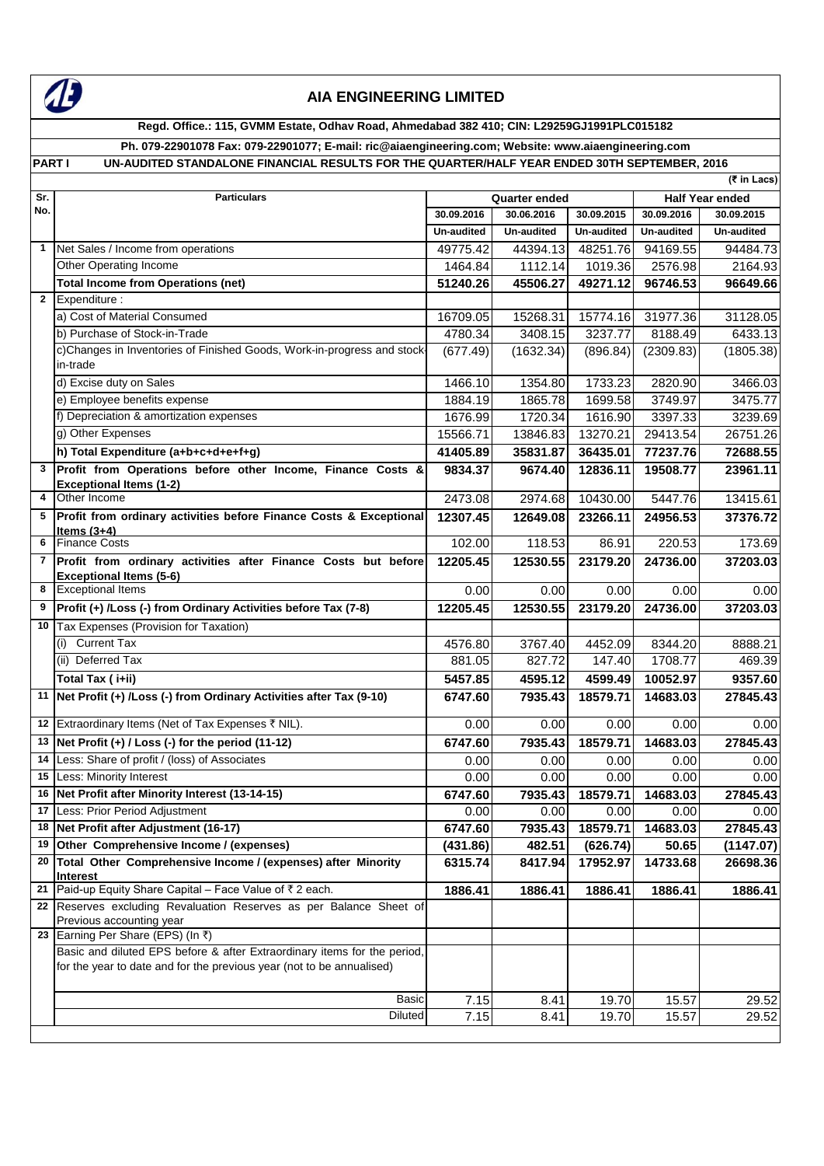

# **AIA ENGINEERING LIMITED**

**Regd. Office.: 115, GVMM Estate, Odhav Road, Ahmedabad 382 410; CIN: L29259GJ1991PLC015182**

**Ph. 079-22901078 Fax: 079-22901077; E-mail: ric@aiaengineering.com; Website: www.aiaengineering.com** PART I UN-AUDITED STANDALONE FINANCIAL RESULTS FOR THE QUARTER/HALF YEAR ENDED 30TH SEPTEMBER, 2016

|                |                                                                                                                                                   |                      |                   |                        |                   | (₹ in Lacs)           |
|----------------|---------------------------------------------------------------------------------------------------------------------------------------------------|----------------------|-------------------|------------------------|-------------------|-----------------------|
| Sr.            | <b>Particulars</b>                                                                                                                                | <b>Quarter ended</b> |                   | <b>Half Year ended</b> |                   |                       |
| No.            |                                                                                                                                                   | 30.09.2016           | 30.06.2016        | 30.09.2015             | 30.09.2016        | 30.09.2015            |
|                |                                                                                                                                                   | Un-audited           | <b>Un-audited</b> | <b>Un-audited</b>      | <b>Un-audited</b> | Un-audited            |
| $\mathbf{1}$   | Net Sales / Income from operations                                                                                                                | 49775.42             | 44394.13          | 48251.76               | 94169.55          | 94484.73              |
|                | Other Operating Income                                                                                                                            | 1464.84              | 1112.14           | 1019.36                | 2576.98           | 2164.93               |
|                | <b>Total Income from Operations (net)</b>                                                                                                         | 51240.26             | 45506.27          | 49271.12               | 96746.53          | 96649.66              |
| $\mathbf{2}$   | Expenditure :                                                                                                                                     |                      |                   |                        |                   |                       |
|                | a) Cost of Material Consumed                                                                                                                      | 16709.05             | 15268.31          | 15774.16               | 31977.36          | 31128.05              |
|                | b) Purchase of Stock-in-Trade                                                                                                                     | 4780.34              | 3408.15           | 3237.77                | 8188.49           | $\overline{6}$ 433.13 |
|                | c)Changes in Inventories of Finished Goods, Work-in-progress and stock-<br>in-trade                                                               | (677.49)             | (1632.34)         | (896.84)               | (2309.83)         | (1805.38)             |
|                | d) Excise duty on Sales                                                                                                                           | 1466.10              | 1354.80           | 1733.23                | 2820.90           | 3466.03               |
|                | e) Employee benefits expense                                                                                                                      | 1884.19              | 1865.78           | 1699.58                | 3749.97           | 3475.77               |
|                | f) Depreciation & amortization expenses                                                                                                           | 1676.99              | 1720.34           | 1616.90                | 3397.33           | 3239.69               |
|                | g) Other Expenses                                                                                                                                 | 15566.71             | 13846.83          | 13270.21               | 29413.54          | 26751.26              |
|                | h) Total Expenditure (a+b+c+d+e+f+g)                                                                                                              | 41405.89             | 35831.87          | 36435.01               | 77237.76          | 72688.55              |
| 3              | Profit from Operations before other Income, Finance Costs &                                                                                       | 9834.37              | 9674.40           | 12836.11               | 19508.77          | 23961.11              |
|                | <b>Exceptional Items (1-2)</b>                                                                                                                    |                      |                   |                        |                   |                       |
| 4              | Other Income                                                                                                                                      | 2473.08              | 2974.68           | 10430.00               | 5447.76           | 13415.61              |
| 5              | Profit from ordinary activities before Finance Costs & Exceptional<br>Items $(3+4)$                                                               | 12307.45             | 12649.08          | 23266.11               | 24956.53          | 37376.72              |
| 6              | <b>Finance Costs</b>                                                                                                                              | 102.00               | 118.53            | 86.91                  | 220.53            | 173.69                |
| $\overline{7}$ | Profit from ordinary activities after Finance Costs but before<br><b>Exceptional Items (5-6)</b>                                                  | 12205.45             | 12530.55          | 23179.20               | 24736.00          | 37203.03              |
|                | 8 Exceptional Items                                                                                                                               | 0.00                 | 0.00              | 0.00                   | 0.00              | 0.00                  |
| 9              | Profit (+) /Loss (-) from Ordinary Activities before Tax (7-8)                                                                                    | 12205.45             | 12530.55          | 23179.20               | 24736.00          | 37203.03              |
| 10             | Tax Expenses (Provision for Taxation)                                                                                                             |                      |                   |                        |                   |                       |
|                | <b>Current Tax</b><br>(i)                                                                                                                         | 4576.80              | 3767.40           | 4452.09                | 8344.20           | 8888.21               |
|                | (ii) Deferred Tax                                                                                                                                 | 881.05               | 827.72            | 147.40                 | 1708.77           | 469.39                |
|                | Total Tax (i+ii)                                                                                                                                  | 5457.85              | 4595.12           | 4599.49                | 10052.97          | 9357.60               |
|                | 11   Net Profit (+) / Loss (-) from Ordinary Activities after Tax (9-10)                                                                          | 6747.60              | 7935.43           | 18579.71               | 14683.03          | 27845.43              |
|                | 12 Extraordinary Items (Net of Tax Expenses ₹ NIL).                                                                                               | 0.00                 | 0.00              | 0.00                   | 0.00              | 0.00                  |
|                | 13 Net Profit $(+)$ / Loss $(-)$ for the period (11-12)                                                                                           | 6747.60              | 7935.43           | 18579.71               | 14683.03          | 27845.43              |
|                | 14 Less: Share of profit / (loss) of Associates                                                                                                   | 0.00                 | 0.00              | 0.00                   | 0.00              | 0.00                  |
|                | 15 Less: Minority Interest                                                                                                                        | 0.00                 | 0.00              | 0.00                   | 0.00              | 0.00                  |
|                | 16 Net Profit after Minority Interest (13-14-15)                                                                                                  | 6747.60              | 7935.43           | 18579.71               | 14683.03          | 27845.43              |
|                | 17 Less: Prior Period Adjustment                                                                                                                  | 0.00                 | 0.00              | 0.00                   | 0.00              | 0.00                  |
|                | 18 Net Profit after Adjustment (16-17)                                                                                                            | 6747.60              | 7935.43           | 18579.71               | 14683.03          | 27845.43              |
|                | 19 Other Comprehensive Income / (expenses)                                                                                                        | (431.86)             | 482.51            | (626.74)               | 50.65             | (1147.07)             |
|                | 20 Total Other Comprehensive Income / (expenses) after Minority<br><b>Interest</b>                                                                | 6315.74              | 8417.94           | 17952.97               | 14733.68          | 26698.36              |
|                | 21   Paid-up Equity Share Capital – Face Value of $\bar{z}$ 2 each.                                                                               | 1886.41              | 1886.41           | 1886.41                | 1886.41           | 1886.41               |
|                | 22 Reserves excluding Revaluation Reserves as per Balance Sheet of<br>Previous accounting year                                                    |                      |                   |                        |                   |                       |
|                | 23 Earning Per Share (EPS) (In ₹)                                                                                                                 |                      |                   |                        |                   |                       |
|                | Basic and diluted EPS before & after Extraordinary items for the period,<br>for the year to date and for the previous year (not to be annualised) |                      |                   |                        |                   |                       |
|                | <b>Basic</b>                                                                                                                                      | 7.15                 | 8.41              | 19.70                  | 15.57             | 29.52                 |
|                | <b>Diluted</b>                                                                                                                                    | 7.15                 | 8.41              | 19.70                  | 15.57             | 29.52                 |
|                |                                                                                                                                                   |                      |                   |                        |                   |                       |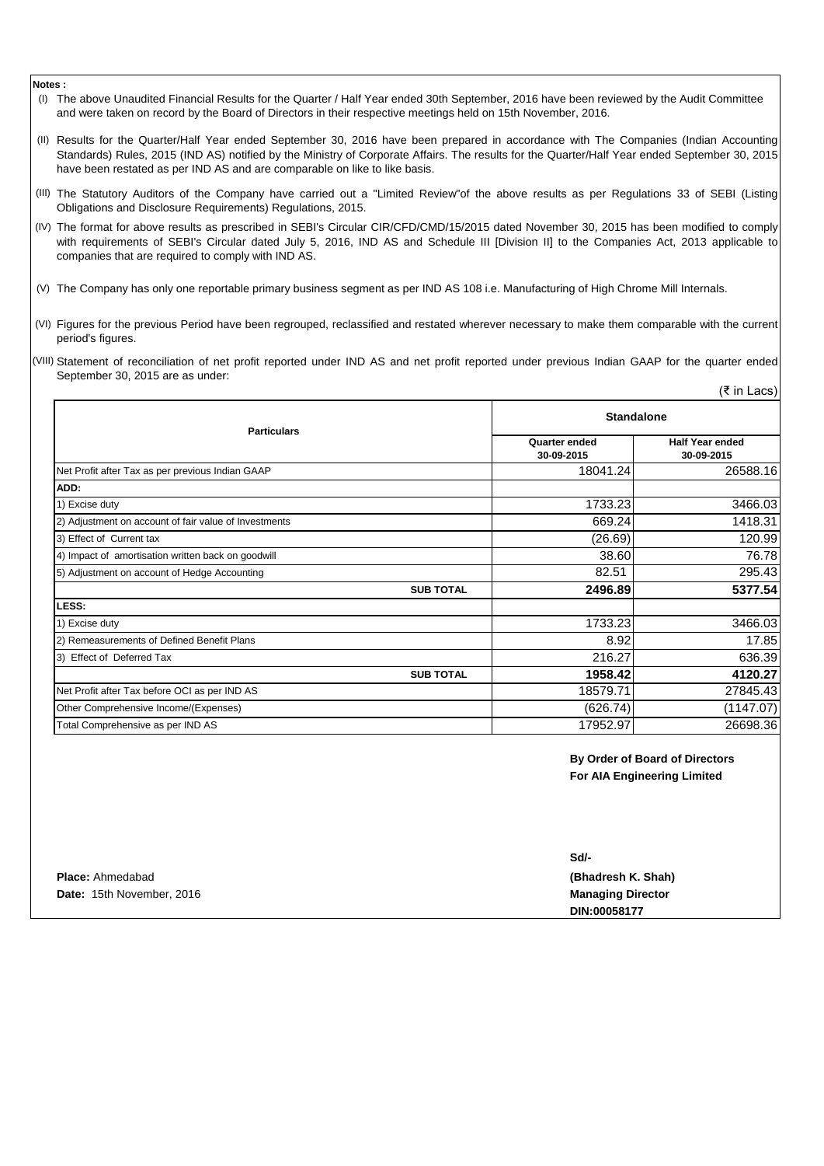#### **Notes :**

- (I) The above Unaudited Financial Results for the Quarter / Half Year ended 30th September, 2016 have been reviewed by the Audit Committee and were taken on record by the Board of Directors in their respective meetings held on 15th November, 2016.
- (II) Results for the Quarter/Half Year ended September 30, 2016 have been prepared in accordance with The Companies (Indian Accounting Standards) Rules, 2015 (IND AS) notified by the Ministry of Corporate Affairs. The results for the Quarter/Half Year ended September 30, 2015 have been restated as per IND AS and are comparable on like to like basis.
- (III) The Statutory Auditors of the Company have carried out a "Limited Review"of the above results as per Regulations 33 of SEBI (Listing Obligations and Disclosure Requirements) Regulations, 2015.
- (IV) The format for above results as prescribed in SEBI's Circular CIR/CFD/CMD/15/2015 dated November 30, 2015 has been modified to comply with requirements of SEBI's Circular dated July 5, 2016, IND AS and Schedule III [Division II] to the Companies Act, 2013 applicable to companies that are required to comply with IND AS.
- (V) The Company has only one reportable primary business segment as per IND AS 108 i.e. Manufacturing of High Chrome Mill Internals.
- (VI) Figures for the previous Period have been regrouped, reclassified and restated wherever necessary to make them comparable with the current period's figures.
- (VIII) Statement of reconciliation of net profit reported under IND AS and net profit reported under previous Indian GAAP for the quarter ended September 30, 2015 are as under:

| <b>Particulars</b>                                    | <b>Standalone</b>           |                                      |  |
|-------------------------------------------------------|-----------------------------|--------------------------------------|--|
|                                                       | Quarter ended<br>30-09-2015 | <b>Half Year ended</b><br>30-09-2015 |  |
| Net Profit after Tax as per previous Indian GAAP      | 18041.24                    | 26588.16                             |  |
| ADD:                                                  |                             |                                      |  |
| 1) Excise duty                                        | 1733.23                     | 3466.03                              |  |
| 2) Adjustment on account of fair value of Investments | 669.24                      | 1418.31                              |  |
| 3) Effect of Current tax                              | (26.69)                     | 120.99                               |  |
| 4) Impact of amortisation written back on goodwill    | 38.60                       | 76.78                                |  |
| 5) Adjustment on account of Hedge Accounting          | 82.51                       | 295.43                               |  |
| <b>SUB TOTAL</b>                                      | 2496.89                     | 5377.54                              |  |
| LESS:                                                 |                             |                                      |  |
| 1) Excise duty                                        | 1733.23                     | 3466.03                              |  |
| 2) Remeasurements of Defined Benefit Plans            | 8.92                        | 17.85                                |  |
| 3) Effect of Deferred Tax                             | 216.27                      | 636.39                               |  |
| <b>SUB TOTAL</b>                                      | 1958.42                     | 4120.27                              |  |
| Net Profit after Tax before OCI as per IND AS         | 18579.71                    | 27845.43                             |  |
| Other Comprehensive Income/(Expenses)                 | (626.74)                    | (1147.07)                            |  |
| Total Comprehensive as per IND AS                     | 17952.97                    | 26698.36                             |  |

**By Order of Board of Directors For AIA Engineering Limited**

(₹ in Lacs)

|                           | Sd/-                     |
|---------------------------|--------------------------|
| <b>Place: Ahmedabad</b>   | (Bhadresh K. Shah)       |
| Date: 15th November, 2016 | <b>Managing Director</b> |
|                           | DIN:00058177             |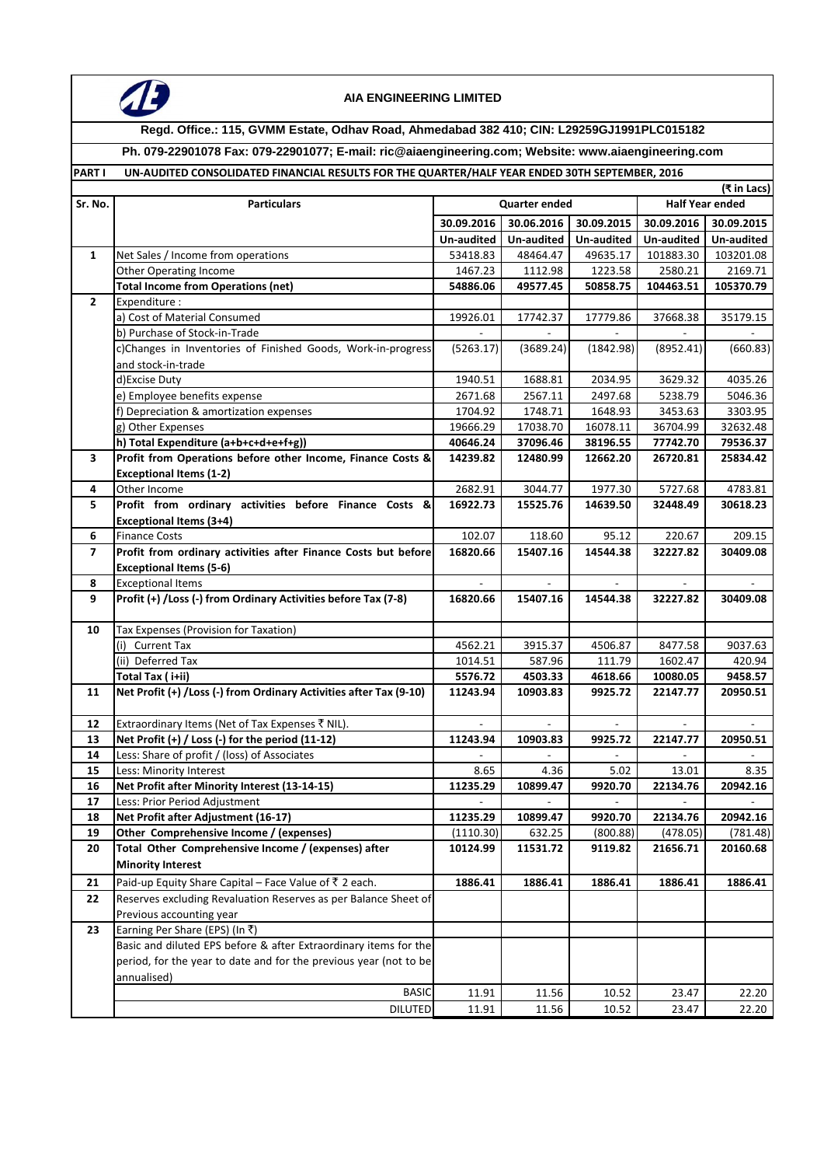

### **AIA ENGINEERING LIMITED**

### **Regd. Office.: 115, GVMM Estate, Odhav Road, Ahmedabad 382 410; CIN: L29259GJ1991PLC015182**

**Ph. 079-22901078 Fax: 079-22901077; E-mail: ric@aiaengineering.com; Website: www.aiaengineering.com**

## **PART I UN-AUDITED CONSOLIDATED FINANCIAL RESULTS FOR THE QUARTER/HALF YEAR ENDED 30TH SEPTEMBER, 2016**

|                          |                                                                     |                      |            |            |                        | (₹ in Lacs)       |
|--------------------------|---------------------------------------------------------------------|----------------------|------------|------------|------------------------|-------------------|
| Sr. No.                  | <b>Particulars</b>                                                  | <b>Quarter ended</b> |            |            | <b>Half Year ended</b> |                   |
|                          |                                                                     | 30.09.2016           | 30.06.2016 | 30.09.2015 | 30.09.2016             | 30.09.2015        |
|                          |                                                                     | Un-audited           | Un-audited | Un-audited | Un-audited             | <b>Un-audited</b> |
| $\mathbf{1}$             | Net Sales / Income from operations                                  | 53418.83             | 48464.47   | 49635.17   | 101883.30              | 103201.08         |
|                          | <b>Other Operating Income</b>                                       | 1467.23              | 1112.98    | 1223.58    | 2580.21                | 2169.71           |
|                          | <b>Total Income from Operations (net)</b>                           | 54886.06             | 49577.45   | 50858.75   | 104463.51              | 105370.79         |
| $\overline{2}$           | Expenditure :                                                       |                      |            |            |                        |                   |
|                          | a) Cost of Material Consumed                                        | 19926.01             | 17742.37   | 17779.86   | 37668.38               | 35179.15          |
|                          | b) Purchase of Stock-in-Trade                                       |                      |            |            |                        |                   |
|                          | c)Changes in Inventories of Finished Goods, Work-in-progress        | (5263.17)            | (3689.24)  | (1842.98)  | (8952.41)              | (660.83)          |
|                          | and stock-in-trade                                                  |                      |            |            |                        |                   |
|                          | d)Excise Duty                                                       | 1940.51              | 1688.81    | 2034.95    | 3629.32                | 4035.26           |
|                          | e) Employee benefits expense                                        | 2671.68              | 2567.11    | 2497.68    | 5238.79                | 5046.36           |
|                          | f) Depreciation & amortization expenses                             | 1704.92              | 1748.71    | 1648.93    | 3453.63                | 3303.95           |
|                          | g) Other Expenses                                                   | 19666.29             | 17038.70   | 16078.11   | 36704.99               | 32632.48          |
|                          | h) Total Expenditure (a+b+c+d+e+f+g))                               | 40646.24             | 37096.46   | 38196.55   | 77742.70               | 79536.37          |
| 3                        | Profit from Operations before other Income, Finance Costs &         | 14239.82             | 12480.99   | 12662.20   | 26720.81               | 25834.42          |
|                          | <b>Exceptional Items (1-2)</b>                                      |                      |            |            |                        |                   |
| 4                        | Other Income                                                        | 2682.91              | 3044.77    | 1977.30    | 5727.68                | 4783.81           |
| 5                        | Profit from ordinary activities before Finance Costs &              | 16922.73             | 15525.76   | 14639.50   | 32448.49               | 30618.23          |
|                          | <b>Exceptional Items (3+4)</b>                                      |                      |            |            |                        |                   |
| 6                        | <b>Finance Costs</b>                                                | 102.07               | 118.60     | 95.12      | 220.67                 | 209.15            |
| $\overline{\phantom{a}}$ | Profit from ordinary activities after Finance Costs but before      | 16820.66             | 15407.16   | 14544.38   | 32227.82               | 30409.08          |
|                          | <b>Exceptional Items (5-6)</b>                                      |                      |            |            |                        |                   |
| 8                        | <b>Exceptional Items</b>                                            |                      |            |            |                        |                   |
| 9                        | Profit (+) /Loss (-) from Ordinary Activities before Tax (7-8)      | 16820.66             | 15407.16   | 14544.38   | 32227.82               | 30409.08          |
|                          |                                                                     |                      |            |            |                        |                   |
| 10                       | Tax Expenses (Provision for Taxation)                               |                      |            |            |                        |                   |
|                          | (i) Current Tax                                                     | 4562.21              | 3915.37    | 4506.87    | 8477.58                | 9037.63           |
|                          | (ii) Deferred Tax                                                   | 1014.51              | 587.96     | 111.79     | 1602.47                | 420.94            |
|                          | Total Tax (i+ii)                                                    | 5576.72              | 4503.33    | 4618.66    | 10080.05               | 9458.57           |
| 11                       | Net Profit (+) / Loss (-) from Ordinary Activities after Tax (9-10) | 11243.94             | 10903.83   | 9925.72    | 22147.77               | 20950.51          |
|                          |                                                                     |                      |            |            |                        |                   |
| 12                       | Extraordinary Items (Net of Tax Expenses ₹ NIL).                    |                      |            |            |                        |                   |
| 13                       | Net Profit (+) / Loss (-) for the period (11-12)                    | 11243.94             | 10903.83   | 9925.72    | 22147.77               | 20950.51          |
| 14                       | Less: Share of profit / (loss) of Associates                        |                      |            |            |                        |                   |
| 15                       | Less: Minority Interest                                             | 8.65                 | 4.36       | 5.02       | 13.01                  | 8.35              |
| 16                       | Net Profit after Minority Interest (13-14-15)                       | 11235.29             | 10899.47   | 9920.70    | 22134.76               | 20942.16          |
| 17                       | Less: Prior Period Adjustment                                       |                      |            |            |                        |                   |
| 18                       | Net Profit after Adjustment (16-17)                                 | 11235.29             | 10899.47   | 9920.70    | 22134.76               | 20942.16          |
| 19                       | Other Comprehensive Income / (expenses)                             | (1110.30)            | 632.25     | (800.88)   | (478.05)               | (781.48)          |
| 20                       | Total Other Comprehensive Income / (expenses) after                 | 10124.99             | 11531.72   | 9119.82    | 21656.71               | 20160.68          |
|                          | <b>Minority Interest</b>                                            |                      |            |            |                        |                   |
| 21                       | Paid-up Equity Share Capital - Face Value of ₹ 2 each.              | 1886.41              | 1886.41    | 1886.41    | 1886.41                | 1886.41           |
| 22                       | Reserves excluding Revaluation Reserves as per Balance Sheet of     |                      |            |            |                        |                   |
|                          | Previous accounting year                                            |                      |            |            |                        |                   |
| 23                       | Earning Per Share (EPS) (In ₹)                                      |                      |            |            |                        |                   |
|                          | Basic and diluted EPS before & after Extraordinary items for the    |                      |            |            |                        |                   |
|                          | period, for the year to date and for the previous year (not to be   |                      |            |            |                        |                   |
|                          | annualised)                                                         |                      |            |            |                        |                   |
|                          | <b>BASIC</b>                                                        | 11.91                | 11.56      | 10.52      | 23.47                  | 22.20             |
|                          | <b>DILUTED</b>                                                      | 11.91                | 11.56      | 10.52      | 23.47                  | 22.20             |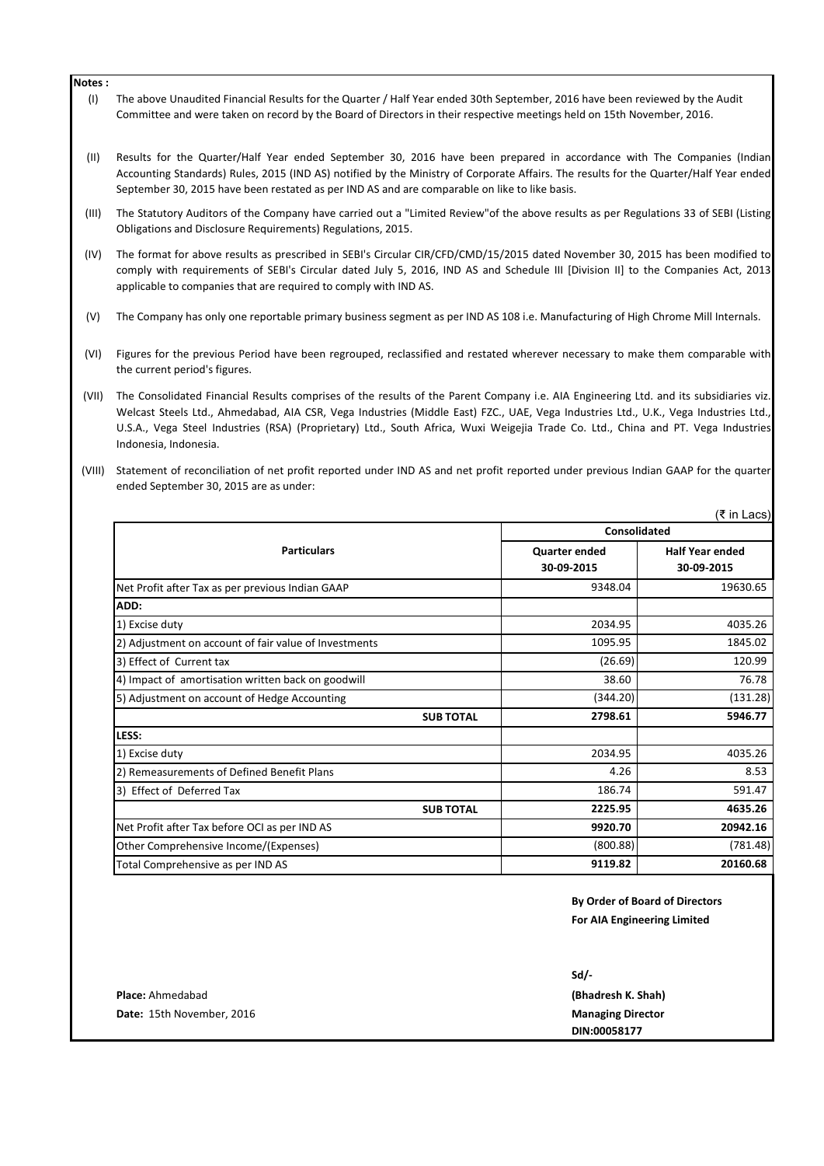#### **Notes :**

- (I) The above Unaudited Financial Results for the Quarter / Half Year ended 30th September, 2016 have been reviewed by the Audit Committee and were taken on record by the Board of Directors in their respective meetings held on 15th November, 2016.
- (II) Results for the Quarter/Half Year ended September 30, 2016 have been prepared in accordance with The Companies (Indian Accounting Standards) Rules, 2015 (IND AS) notified by the Ministry of Corporate Affairs. The results for the Quarter/Half Year ended September 30, 2015 have been restated as per IND AS and are comparable on like to like basis.
- (III) The Statutory Auditors of the Company have carried out a "Limited Review"of the above results as per Regulations 33 of SEBI (Listing Obligations and Disclosure Requirements) Regulations, 2015.
- (IV) The format for above results as prescribed in SEBI's Circular CIR/CFD/CMD/15/2015 dated November 30, 2015 has been modified to comply with requirements of SEBI's Circular dated July 5, 2016, IND AS and Schedule III [Division II] to the Companies Act, 2013 applicable to companies that are required to comply with IND AS.
- (V) The Company has only one reportable primary business segment as per IND AS 108 i.e. Manufacturing of High Chrome Mill Internals.
- (VI) Figures for the previous Period have been regrouped, reclassified and restated wherever necessary to make them comparable with the current period's figures.
- (VII) The Consolidated Financial Results comprises of the results of the Parent Company i.e. AIA Engineering Ltd. and its subsidiaries viz. Welcast Steels Ltd., Ahmedabad, AIA CSR, Vega Industries (Middle East) FZC., UAE, Vega Industries Ltd., U.K., Vega Industries Ltd., U.S.A., Vega Steel Industries (RSA) (Proprietary) Ltd., South Africa, Wuxi Weigejia Trade Co. Ltd., China and PT. Vega Industries Indonesia, Indonesia.
- (VIII) Statement of reconciliation of net profit reported under IND AS and net profit reported under previous Indian GAAP for the quarter ended September 30, 2015 are as under:

|                                    | (₹ in Lacs)                          |
|------------------------------------|--------------------------------------|
| Consolidated                       |                                      |
| <b>Quarter ended</b><br>30-09-2015 | <b>Half Year ended</b><br>30-09-2015 |
| 9348.04                            | 19630.65                             |
|                                    |                                      |
| 2034.95                            | 4035.26                              |
| 1095.95                            | 1845.02                              |
| (26.69)                            | 120.99                               |
| 38.60                              | 76.78                                |
| (344.20)                           | (131.28)                             |
| 2798.61                            | 5946.77                              |
|                                    |                                      |
| 2034.95                            | 4035.26                              |
| 4.26                               | 8.53                                 |
| 186.74                             | 591.47                               |
| 2225.95                            | 4635.26                              |
| 9920.70                            | 20942.16                             |
| (800.88)                           | (781.48)                             |
| 9119.82                            | 20160.68                             |
|                                    |                                      |

**By Order of Board of Directors For AIA Engineering Limited**

|                           | $Sd/-$                   |
|---------------------------|--------------------------|
| <b>Place:</b> Ahmedabad   | (Bhadresh K. Shah)       |
| Date: 15th November, 2016 | <b>Managing Director</b> |
|                           | DIN:00058177             |